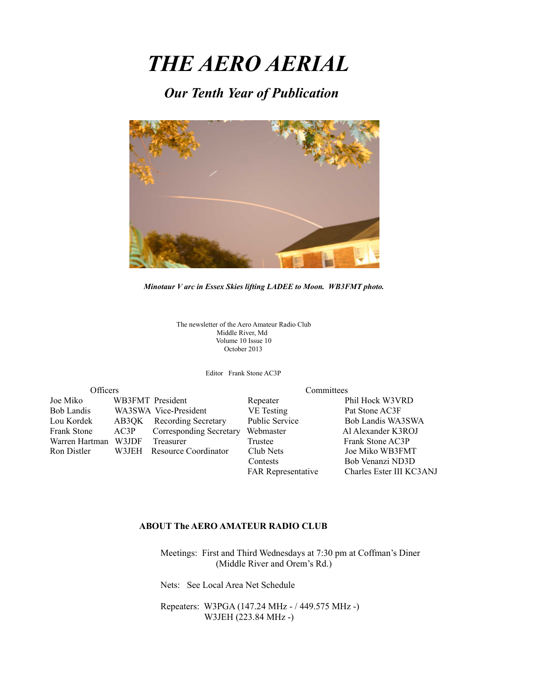# *THE AERO AERIAL*

*Our Tenth Year of Publication*



*Minotaur V arc in Essex Skies lifting LADEE to Moon. WB3FMT photo.*

The newsletter of the Aero Amateur Radio Club Middle River, Md Volume 10 Issue 10 October 2013

Editor Frank Stone AC3P

| Officers           |       | Committees                     |                           |                          |
|--------------------|-------|--------------------------------|---------------------------|--------------------------|
| Joe Miko           |       | WB3FMT President               | Repeater                  | Phil Hock W3VRD          |
| <b>Bob Landis</b>  |       | WA3SWA Vice-President          | VE Testing                | Pat Stone AC3F           |
| Lou Kordek         |       | AB3QK Recording Secretary      | Public Service            | Bob Landis WA3SWA        |
| <b>Frank Stone</b> | AC3P  | <b>Corresponding Secretary</b> | Webmaster                 | Al Alexander K3ROJ       |
| Warren Hartman     | W3JDF | Treasurer                      | Trustee                   | Frank Stone AC3P         |
| Ron Distler        |       | W3JEH Resource Coordinator     | Club Nets                 | Joe Miko WB3FMT          |
|                    |       |                                | Contests                  | Bob Venanzi ND3D         |
|                    |       |                                | <b>FAR Representative</b> | Charles Ester III KC3ANJ |

#### **ABOUT The AERO AMATEUR RADIO CLUB**

 Meetings: First and Third Wednesdays at 7:30 pm at Coffman's Diner (Middle River and Orem's Rd.)

Nets: See Local Area Net Schedule

 Repeaters: W3PGA (147.24 MHz - / 449.575 MHz -) W3JEH (223.84 MHz -)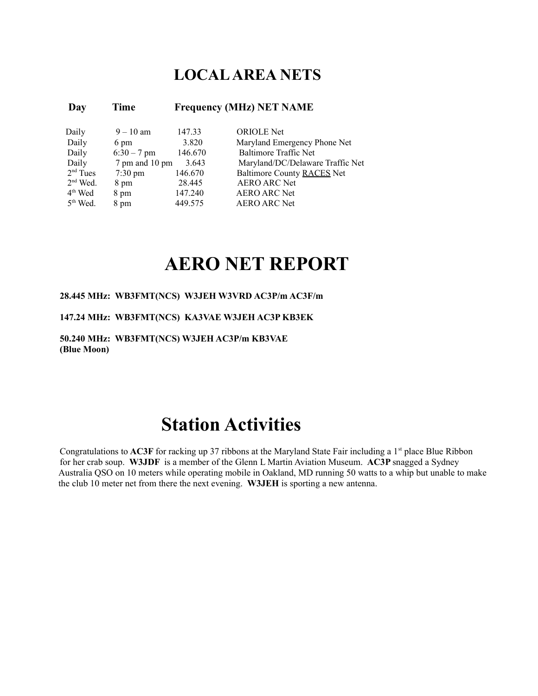### **LOCAL AREA NETS**

### **Day Time Frequency (MHz) NET NAME**

| Daily      | $9 - 10$ am       | 147.33  | <b>ORIOLE</b> Net                |
|------------|-------------------|---------|----------------------------------|
| Daily      | 6 pm              | 3.820   | Maryland Emergency Phone Net     |
| Daily      | $6:30 - 7$ pm     | 146.670 | <b>Baltimore Traffic Net</b>     |
| Daily      | 7 pm and 10 pm    | 3.643   | Maryland/DC/Delaware Traffic Net |
| $2nd$ Tues | $7:30 \text{ pm}$ | 146.670 | Baltimore County RACES Net       |
| $2nd$ Wed. | 8 pm              | 28.445  | <b>AERO ARC Net</b>              |
| $4th$ Wed  | 8 pm              | 147.240 | <b>AERO ARC Net</b>              |
| $5th$ Wed. | 8 pm              | 449.575 | <b>AERO ARC Net</b>              |

## **AERO NET REPORT**

#### **28.445 MHz: WB3FMT(NCS) W3JEH W3VRD AC3P/m AC3F/m**

#### **147.24 MHz: WB3FMT(NCS) KA3VAE W3JEH AC3P KB3EK**

**50.240 MHz: WB3FMT(NCS) W3JEH AC3P/m KB3VAE (Blue Moon)**

## **Station Activities**

Congratulations to **AC3F** for racking up 37 ribbons at the Maryland State Fair including a 1<sup>st</sup> place Blue Ribbon for her crab soup. **W3JDF** is a member of the Glenn L Martin Aviation Museum. **AC3P** snagged a Sydney Australia QSO on 10 meters while operating mobile in Oakland, MD running 50 watts to a whip but unable to make the club 10 meter net from there the next evening. **W3JEH** is sporting a new antenna.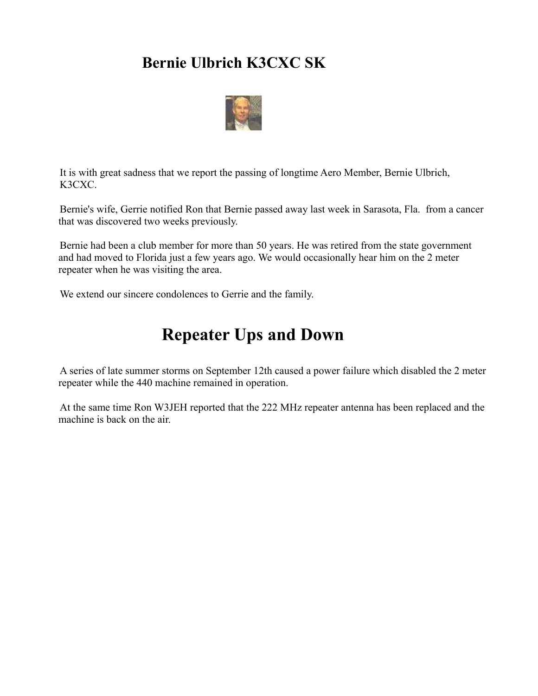### **Bernie Ulbrich K3CXC SK**



It is with great sadness that we report the passing of longtime Aero Member, Bernie Ulbrich, K3CXC.

Bernie's wife, Gerrie notified Ron that Bernie passed away last week in Sarasota, Fla. from a cancer that was discovered two weeks previously.

Bernie had been a club member for more than 50 years. He was retired from the state government and had moved to Florida just a few years ago. We would occasionally hear him on the 2 meter repeater when he was visiting the area.

We extend our sincere condolences to Gerrie and the family.

## **Repeater Ups and Down**

A series of late summer storms on September 12th caused a power failure which disabled the 2 meter repeater while the 440 machine remained in operation.

At the same time Ron W3JEH reported that the 222 MHz repeater antenna has been replaced and the machine is back on the air.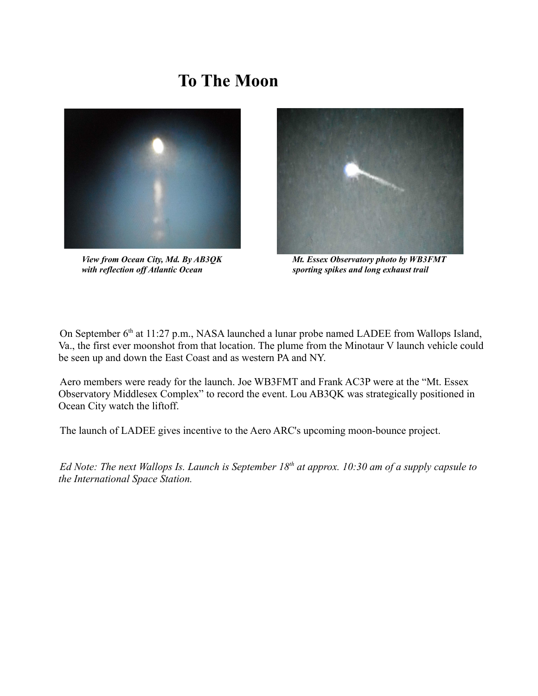## **To The Moon**





 *View from Ocean City, Md. By AB3QK Mt. Essex Observatory photo by WB3FMT mith reflection off Atlantic Ocean* sporting spikes and long exhaust trail

On September  $6<sup>th</sup>$  at 11:27 p.m., NASA launched a lunar probe named LADEE from Wallops Island, Va., the first ever moonshot from that location. The plume from the Minotaur V launch vehicle could be seen up and down the East Coast and as western PA and NY.

Aero members were ready for the launch. Joe WB3FMT and Frank AC3P were at the "Mt. Essex Observatory Middlesex Complex" to record the event. Lou AB3QK was strategically positioned in Ocean City watch the liftoff.

The launch of LADEE gives incentive to the Aero ARC's upcoming moon-bounce project.

*Ed Note: The next Wallops Is. Launch is September 18th at approx. 10:30 am of a supply capsule to the International Space Station.*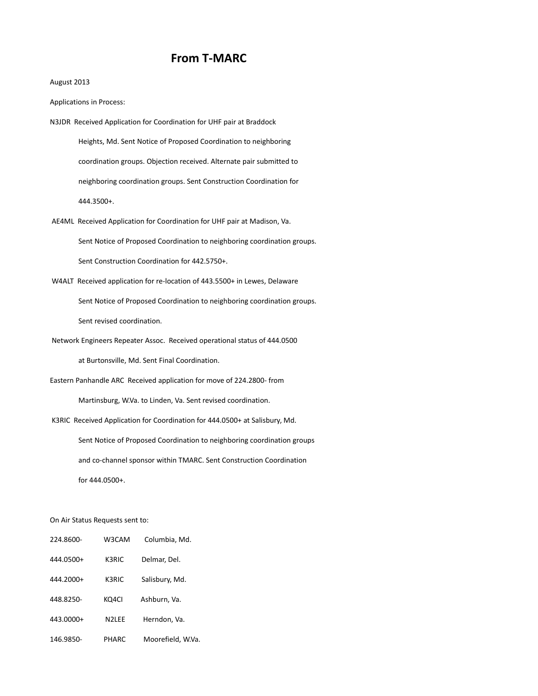### **From T-MARC**

#### August 2013

Applications in Process:

- N3JDR Received Application for Coordination for UHF pair at Braddock Heights, Md. Sent Notice of Proposed Coordination to neighboring coordination groups. Objection received. Alternate pair submitted to neighboring coordination groups. Sent Construction Coordination for 444.3500+.
- AE4ML Received Application for Coordination for UHF pair at Madison, Va. Sent Notice of Proposed Coordination to neighboring coordination groups. Sent Construction Coordination for 442.5750+.
- W4ALT Received application for re-location of 443.5500+ in Lewes, Delaware Sent Notice of Proposed Coordination to neighboring coordination groups.

Sent revised coordination.

Network Engineers Repeater Assoc. Received operational status of 444.0500

at Burtonsville, Md. Sent Final Coordination.

Eastern Panhandle ARC Received application for move of 224.2800- from

Martinsburg, W.Va. to Linden, Va. Sent revised coordination.

K3RIC Received Application for Coordination for 444.0500+ at Salisbury, Md.

 Sent Notice of Proposed Coordination to neighboring coordination groups and co-channel sponsor within TMARC. Sent Construction Coordination for 444.0500+.

#### On Air Status Requests sent to:

| 224.8600- | W3CAM              | Columbia, Md.     |
|-----------|--------------------|-------------------|
| 444.0500+ | K3RIC              | Delmar, Del.      |
| 444.2000+ | K3RIC              | Salisbury, Md.    |
| 448.8250- | KQ4CI              | Ashburn, Va.      |
| 443.0000+ | N <sub>2</sub> IFF | Herndon, Va.      |
| 146.9850- | PHARC              | Moorefield, W.Va. |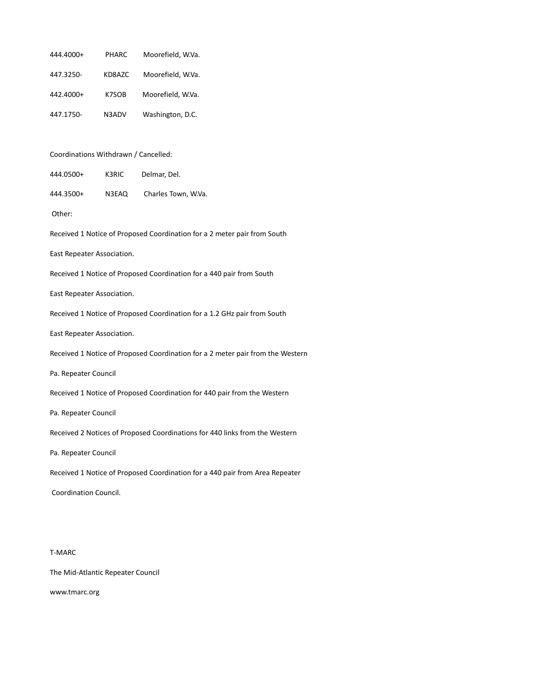| 444.4000+                                                                      | PHARC  | Moorefield, W.Va.   |  |  |
|--------------------------------------------------------------------------------|--------|---------------------|--|--|
| 447.3250-                                                                      | KD8AZC | Moorefield, W.Va.   |  |  |
| 442.4000+                                                                      | K7SOB  | Moorefield, W.Va.   |  |  |
| 447.1750-                                                                      | N3ADV  | Washington, D.C.    |  |  |
|                                                                                |        |                     |  |  |
| Coordinations Withdrawn / Cancelled:                                           |        |                     |  |  |
| 444.0500+                                                                      | K3RIC  | Delmar, Del.        |  |  |
| 444.3500+                                                                      | N3EAQ  | Charles Town, W.Va. |  |  |
| Other:                                                                         |        |                     |  |  |
| Received 1 Notice of Proposed Coordination for a 2 meter pair from South       |        |                     |  |  |
| East Repeater Association.                                                     |        |                     |  |  |
| Received 1 Notice of Proposed Coordination for a 440 pair from South           |        |                     |  |  |
| East Repeater Association.                                                     |        |                     |  |  |
| Received 1 Notice of Proposed Coordination for a 1.2 GHz pair from South       |        |                     |  |  |
| East Repeater Association.                                                     |        |                     |  |  |
| Received 1 Notice of Proposed Coordination for a 2 meter pair from the Western |        |                     |  |  |
| Pa. Repeater Council                                                           |        |                     |  |  |
| Received 1 Notice of Proposed Coordination for 440 pair from the Western       |        |                     |  |  |
| Pa. Repeater Council                                                           |        |                     |  |  |
| Received 2 Notices of Proposed Coordinations for 440 links from the Western    |        |                     |  |  |
| Pa. Repeater Council                                                           |        |                     |  |  |
| Received 1 Notice of Proposed Coordination for a 440 pair from Area Repeater   |        |                     |  |  |
| Coordination Council.                                                          |        |                     |  |  |
|                                                                                |        |                     |  |  |

#### T-MARC

The Mid-Atlantic Repeater Council

[www.tmarc.org](http://www.tmarc.org/)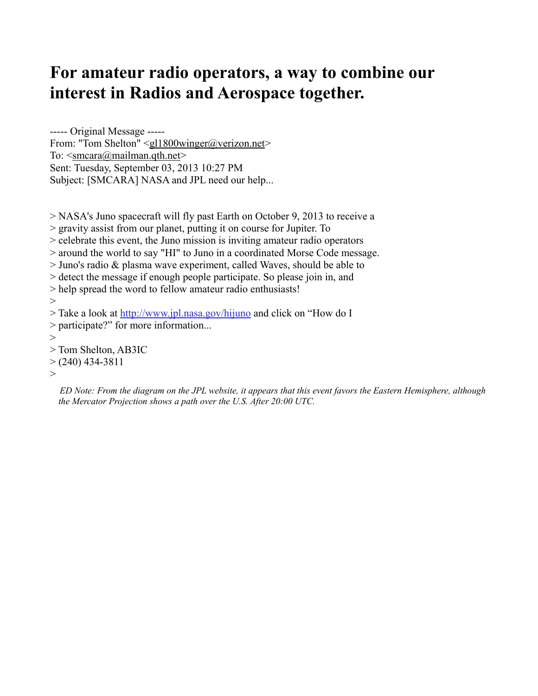## **For amateur radio operators, a way to combine our interest in Radios and Aerospace together.**

----- Original Message ----- From: "Tom Shelton" [<gl1800winger@verizon.net>](mailto:gl1800winger@verizon.net) To:  $\leq$ smcara@mailman.qth.net> Sent: Tuesday, September 03, 2013 10:27 PM Subject: [SMCARA] NASA and JPL need our help...

> NASA's Juno spacecraft will fly past Earth on October 9, 2013 to receive a > gravity assist from our planet, putting it on course for Jupiter. To > celebrate this event, the Juno mission is inviting amateur radio operators > around the world to say "HI" to Juno in a coordinated Morse Code message. > Juno's radio & plasma wave experiment, called Waves, should be able to > detect the message if enough people participate. So please join in, and > help spread the word to fellow amateur radio enthusiasts!  $>$ > Take a look at<http://www.jpl.nasa.gov/hijuno>and click on "How do I > participate?" for more information...  $\geq$ > Tom Shelton, AB3IC  $> (240)$  434-3811

 $\,>$ 

*ED Note: From the diagram on the JPL website, it appears that this event favors the Eastern Hemisphere, although the Mercator Projection shows a path over the U.S. After 20:00 UTC.*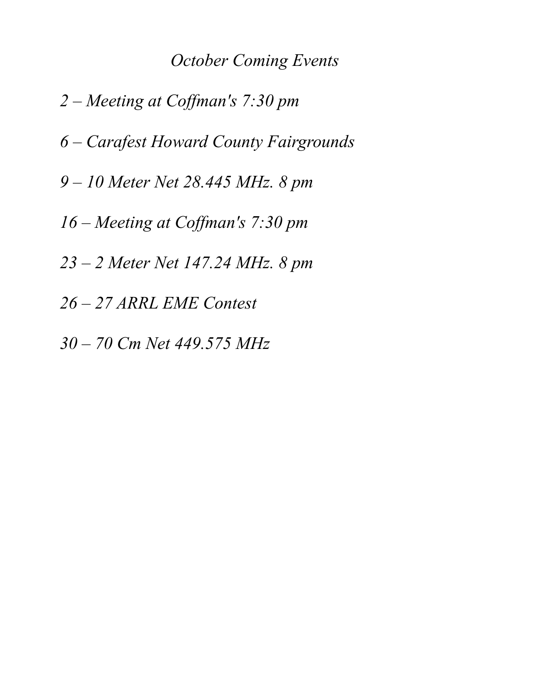### *October Coming Events*

*2 – Meeting at Coffman's 7:30 pm 6 – Carafest Howard County Fairgrounds 9 – 10 Meter Net 28.445 MHz. 8 pm 16 – Meeting at Coffman's 7:30 pm 23 – 2 Meter Net 147.24 MHz. 8 pm 26 – 27 ARRL EME Contest 30 – 70 Cm Net 449.575 MHz*